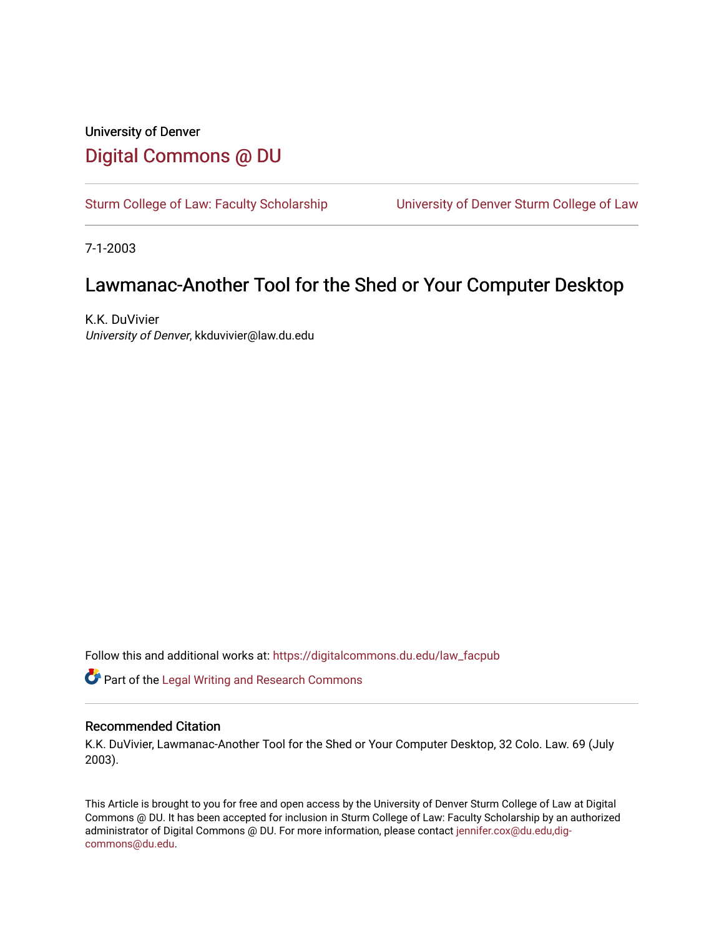## University of Denver [Digital Commons @ DU](https://digitalcommons.du.edu/)

[Sturm College of Law: Faculty Scholarship](https://digitalcommons.du.edu/law_facpub) [University of Denver Sturm College of Law](https://digitalcommons.du.edu/denver_law) 

7-1-2003

## Lawmanac-Another Tool for the Shed or Your Computer Desktop

K.K. DuVivier University of Denver, kkduvivier@law.du.edu

Follow this and additional works at: [https://digitalcommons.du.edu/law\\_facpub](https://digitalcommons.du.edu/law_facpub?utm_source=digitalcommons.du.edu%2Flaw_facpub%2F406&utm_medium=PDF&utm_campaign=PDFCoverPages) 

Part of the [Legal Writing and Research Commons](http://network.bepress.com/hgg/discipline/614?utm_source=digitalcommons.du.edu%2Flaw_facpub%2F406&utm_medium=PDF&utm_campaign=PDFCoverPages) 

#### Recommended Citation

K.K. DuVivier, Lawmanac-Another Tool for the Shed or Your Computer Desktop, 32 Colo. Law. 69 (July 2003).

This Article is brought to you for free and open access by the University of Denver Sturm College of Law at Digital Commons @ DU. It has been accepted for inclusion in Sturm College of Law: Faculty Scholarship by an authorized administrator of Digital Commons @ DU. For more information, please contact [jennifer.cox@du.edu,dig](mailto:jennifer.cox@du.edu,dig-commons@du.edu)[commons@du.edu.](mailto:jennifer.cox@du.edu,dig-commons@du.edu)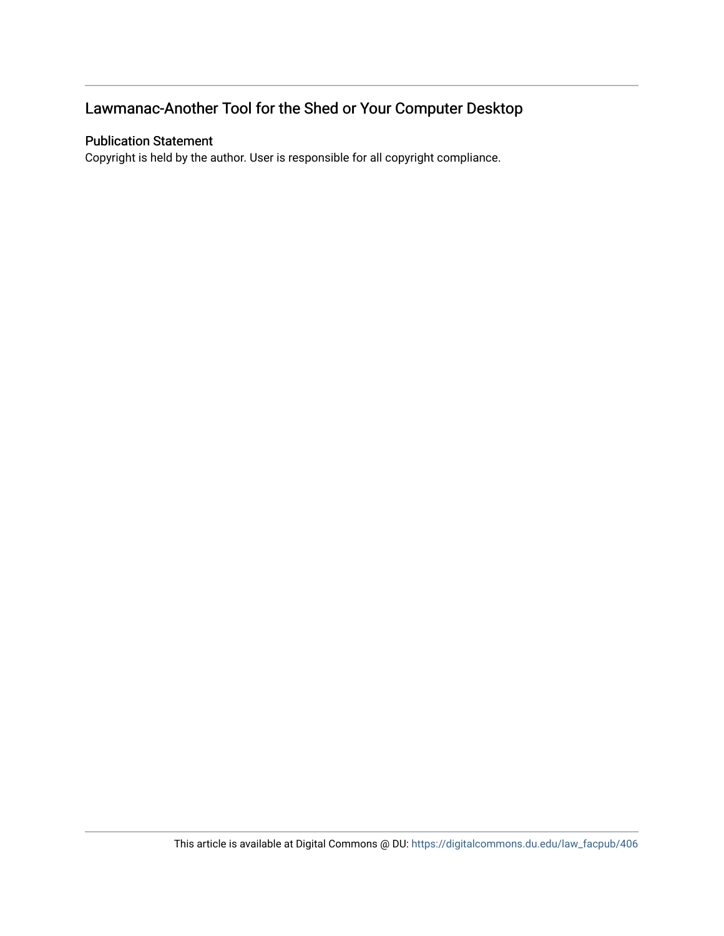## Lawmanac-Another Tool for the Shed or Your Computer Desktop

#### Publication Statement

Copyright is held by the author. User is responsible for all copyright compliance.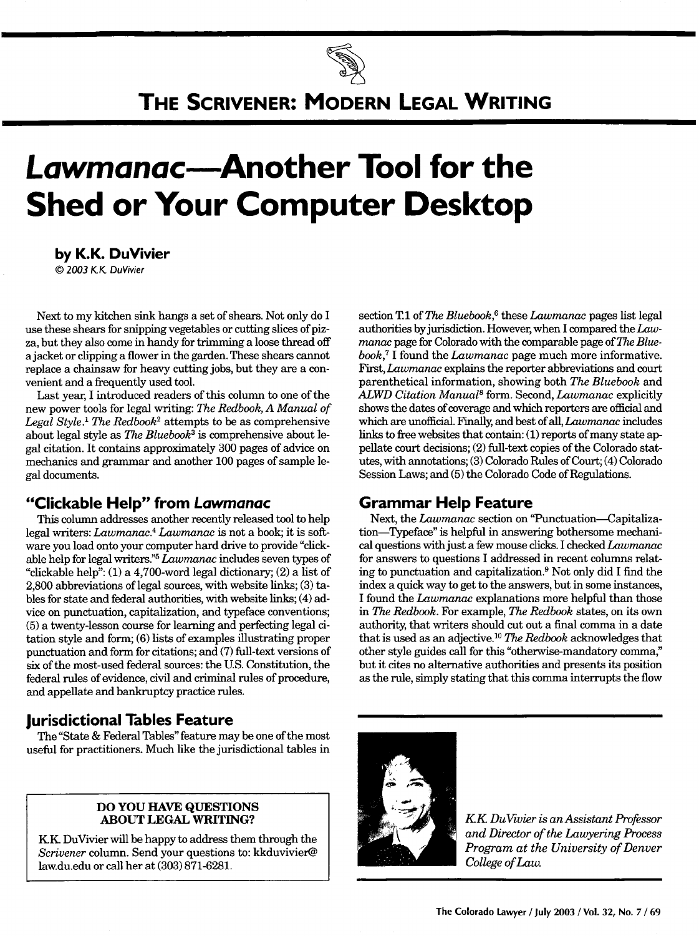# **THE SCRIVENER: MODERN LEGAL WRITING**

# **Lawmanac-Another Tool for the Shed or Your Computer Desktop**

**by K.K. DuVivier** *©* **2003 KK.** DuVivier

Next to my kitchen sink hangs a set of shears. Not only do I use these shears for snipping vegetables or cutting slices of pizza, but they also come in handy for trimming a loose thread off a jacket or clipping a flower in the garden. These shears cannot replace a chainsaw for heavy cutting jobs, but they are a convenient and a frequently used tool.

Last year, I introduced readers of this column to one of the new power tools for legal writing: *The Redbook, A Manual of Legal Style.' The Redbook2* attempts to be as comprehensive about legal style as *The Bluebook3* is comprehensive about legal citation. It contains approximately 300 pages of advice on mechanics and grammar and another 100 pages of sample legal documents.

#### **"Clickable Help" from Lawmanac**

This column addresses another recently released tool to help legal writers: *Lawmanac.4 Lawmanac* is not a book; it is software you load onto your computer hard drive to provide "clickable help for legal writers."5 *Lawmanac* includes seven types of "clickable help":  $(1)$  a 4,700-word legal dictionary;  $(2)$  a list of 2,800 abbreviations of legal sources, with website links; (3) tables for state and federal authorities, with website links; (4) advice on punctuation, capitalization, and typeface conventions; (5) a twenty-lesson course for learning and perfecting legal citation style and form; (6) lists of examples illustrating proper punctuation and form for citations; and (7) full-text versions of six of the most-used federal sources: the U.S. Constitution, the federal rules of evidence, civil and criminal rules of procedure, and appellate and bankruptcy practice rules.

#### **Jurisdictional Tables Feature**

The "State & Federal Tables" feature may be one of the most useful for practitioners. Much like the jurisdictional tables in

#### **DO YOU HAVE QUESTIONS ABOUT LEGAL WRITING?**

**KK** DuVivier will be happy to address them through the *Scrivener* column. Send your questions to: kkduvivier@ law.du.edu or call her at (303) 871-6281.

section **T.1** of *The Bluebook*,<sup>6</sup> these *Lawmanac* pages list legal authorities by jurisdiction. However, when I compared the *Lawmanac* page for Colorado with the comparable page of *The Bluebook,'* **I** found the *Lawmanac* page much more informative. First, *Lawmanac* explains the reporter abbreviations and court parenthetical information, showing both *The Bluebook* and *ALWD Citation Manual8* form. Second, *Lawmanac* explicitly shows the dates of coverage and which reporters are official and which are unofficial. Finally, and best of all, *Lawmanac* includes links to free websites that contain: (1) reports of many state appellate court decisions; (2) fill-text copies of the Colorado statutes, with annotations; (3) Colorado Rules of Court; (4) Colorado Session Laws; and (5) the Colorado Code of Regulations.

### **Grammar Help Feature**

Next, the *Lawmanac* section on 'Punctuation-Capitalization-Typeface" is helpful in answering bothersome mechanical questions with just a few mouse clicks. I checked *Lawmanac* for answers to questions I addressed in recent columns relating to punctuation and capitalization.9 Not only did I find the index a quick way to get to the answers, but in some instances, I found the *Lawmanac* explanations more helpful than those in *The Redbook.* For example, *The Redbook* states, on its own authority, that writers should cut out a final comma in a date that is used as an adjective. <sup>10</sup>*The Redbook* acknowledges that other style guides call for this "otherwise-mandatory comma," but it cites no alternative authorities and presents its position as the rule, simply stating that this comma interrupts the flow



*KK Du~ivier is an Assistant Professor and Director of the Lawyering Process Program at the University of Denver College of Law.*